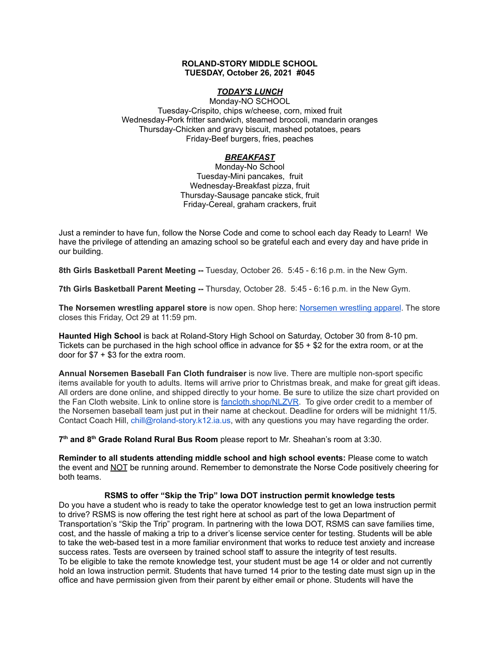### **ROLAND-STORY MIDDLE SCHOOL TUESDAY, October 26, 2021 #045**

# *TODAY'S LUNCH*

Monday-NO SCHOOL Tuesday-Crispito, chips w/cheese, corn, mixed fruit Wednesday-Pork fritter sandwich, steamed broccoli, mandarin oranges Thursday-Chicken and gravy biscuit, mashed potatoes, pears Friday-Beef burgers, fries, peaches

## *BREAKFAST*

Monday-No School Tuesday-Mini pancakes, fruit Wednesday-Breakfast pizza, fruit Thursday-Sausage pancake stick, fruit Friday-Cereal, graham crackers, fruit

Just a reminder to have fun, follow the Norse Code and come to school each day Ready to Learn! We have the privilege of attending an amazing school so be grateful each and every day and have pride in our building.

**8th Girls Basketball Parent Meeting --** Tuesday, October 26. 5:45 - 6:16 p.m. in the New Gym.

**7th Girls Basketball Parent Meeting --** Thursday, October 28. 5:45 - 6:16 p.m. in the New Gym.

**The Norsemen wrestling apparel store** is now open. Shop here: [Norsemen](https://rswrestling21.itemorder.com/shop/sale/?saleCode=W8UP3) wrestling apparel. The store closes this Friday, Oct 29 at 11:59 pm.

**Haunted High School** is back at Roland-Story High School on Saturday, October 30 from 8-10 pm. Tickets can be purchased in the high school office in advance for \$5 + \$2 for the extra room, or at the door for  $$7 + $3$  for the extra room.

**Annual Norsemen Baseball Fan Cloth fundraiser** is now live. There are multiple non-sport specific items available for youth to adults. Items will arrive prior to Christmas break, and make for great gift ideas. All orders are done online, and shipped directly to your home. Be sure to utilize the size chart provided on the Fan Cloth website. Link to online store is [fancloth.shop/NLZVR.](http://fancloth.shop/NLZVR) To give order credit to a member of the Norsemen baseball team just put in their name at checkout. Deadline for orders will be midnight 11/5. Contact Coach Hill, chill@roland-story.k12.ia.us, with any questions you may have regarding the order.

**7 th and 8 th Grade Roland Rural Bus Room** please report to Mr. Sheahan's room at 3:30.

**Reminder to all students attending middle school and high school events:** Please come to watch the event and NOT be running around. Remember to demonstrate the Norse Code positively cheering for both teams.

#### **RSMS to offer "Skip the Trip" Iowa DOT instruction permit knowledge tests**

Do you have a student who is ready to take the operator knowledge test to get an Iowa instruction permit to drive? RSMS is now offering the test right here at school as part of the Iowa Department of Transportation's "Skip the Trip" program. In partnering with the Iowa DOT, RSMS can save families time, cost, and the hassle of making a trip to a driver's license service center for testing. Students will be able to take the web-based test in a more familiar environment that works to reduce test anxiety and increase success rates. Tests are overseen by trained school staff to assure the integrity of test results. To be eligible to take the remote knowledge test, your student must be age 14 or older and not currently hold an Iowa instruction permit. Students that have turned 14 prior to the testing date must sign up in the office and have permission given from their parent by either email or phone. Students will have the